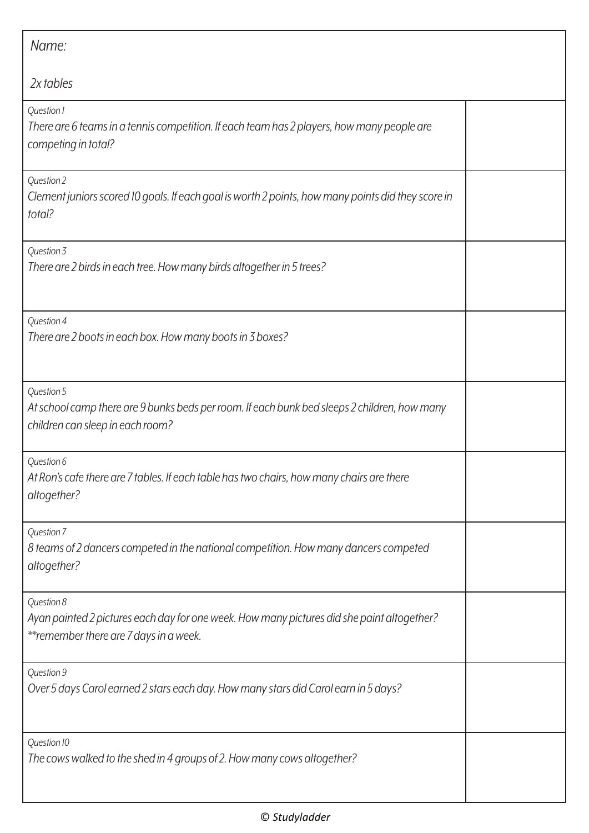| Name:                                                                                                                                               |  |
|-----------------------------------------------------------------------------------------------------------------------------------------------------|--|
| 2x tables                                                                                                                                           |  |
| Question 1<br>There are 6 teams in a tennis competition. If each team has 2 players, how many people are<br>competing in total?                     |  |
| Question 2<br>Clement juniors scored 10 goals. If each goal is worth 2 points, how many points did they score in<br>total?                          |  |
| Question 3<br>There are 2 birds in each tree. How many birds altogether in 5 trees?                                                                 |  |
| Question 4<br>There are 2 boots in each box. How many boots in 3 boxes?                                                                             |  |
| Question 5<br>At school camp there are 9 bunks beds per room. If each bunk bed sleeps 2 children, how many<br>children can sleep in each room?      |  |
| Question 6<br>At Ron's cafe there are 7 tables. If each table has two chairs, how many chairs are there<br>altogether?                              |  |
| Question 7<br>8 teams of 2 dancers competed in the national competition. How many dancers competed<br>altogether?                                   |  |
| Question 8<br>Ayan painted 2 pictures each day for one week. How many pictures did she paint altogether?<br>** remember there are 7 days in a week. |  |
| Question 9<br>Over 5 days Carol earned 2 stars each day. How many stars did Carol earn in 5 days?                                                   |  |
| Question 10<br>The cows walked to the shed in 4 groups of 2. How many cows altogether?                                                              |  |